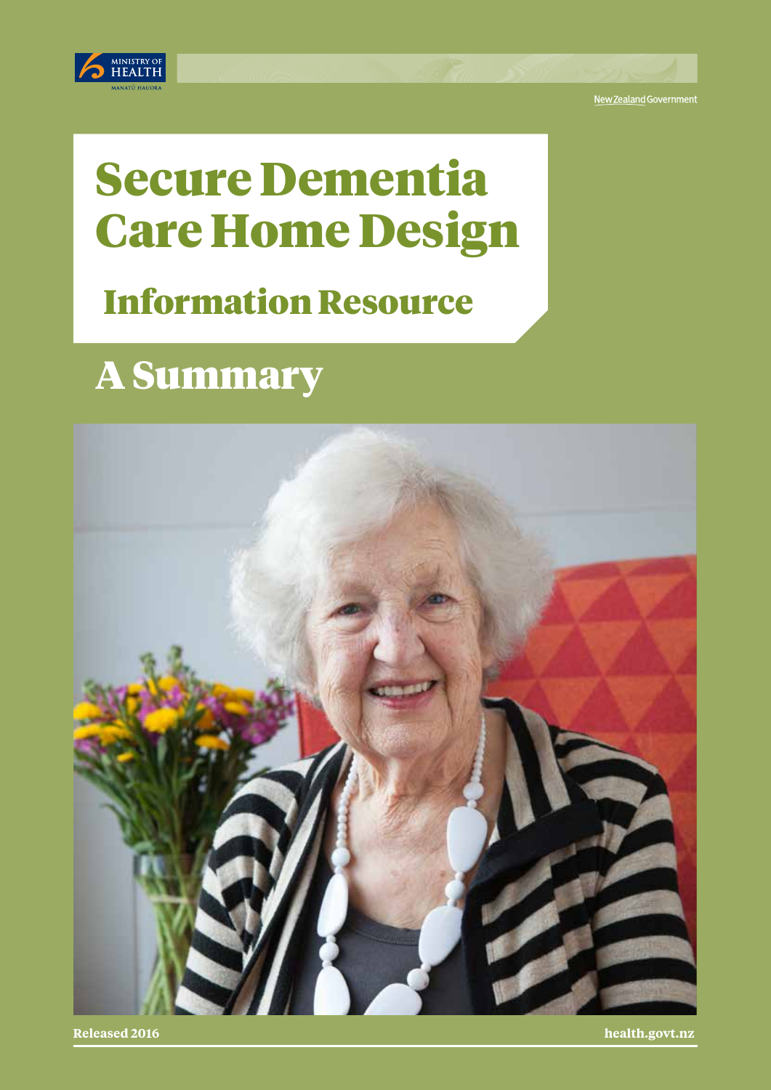

New Zealand Government

# Secure Dementia Care Home Design

## Information Resource

## A Summary



**Released 2016 health.govt.nz**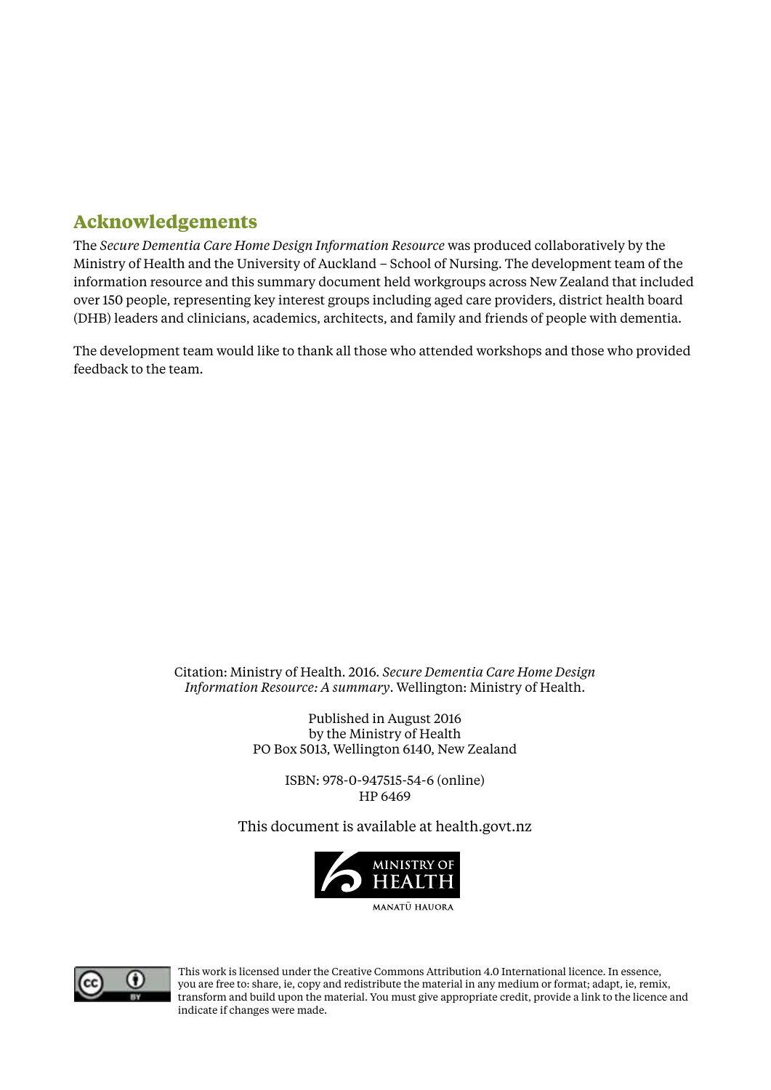### **Acknowledgements**

The *Secure Dementia Care Home Design Information Resource* was produced collaboratively by the Ministry of Health and the University of Auckland – School of Nursing. The development team of the information resource and this summary document held workgroups across New Zealand that included over 150 people, representing key interest groups including aged care providers, district health board (DHB) leaders and clinicians, academics, architects, and family and friends of people with dementia.

The development team would like to thank all those who attended workshops and those who provided feedback to the team.

> Citation: Ministry of Health. 2016. *Secure Dementia Care Home Design Information Resource: A summary*. Wellington: Ministry of Health.

> > Published in August 2016 by the Ministry of Health PO Box 5013, Wellington 6140, New Zealand

> > > ISBN: 978-0-947515-54-6 (online) HP 6469

This document is available at health.govt.nz





This work is licensed under the Creative Commons Attribution 4.0 International licence. In essence, you are free to: share, ie, copy and redistribute the material in any medium or format; adapt, ie, remix, transform and build upon the material. You must give appropriate credit, provide a link to the licence and indicate if changes were made.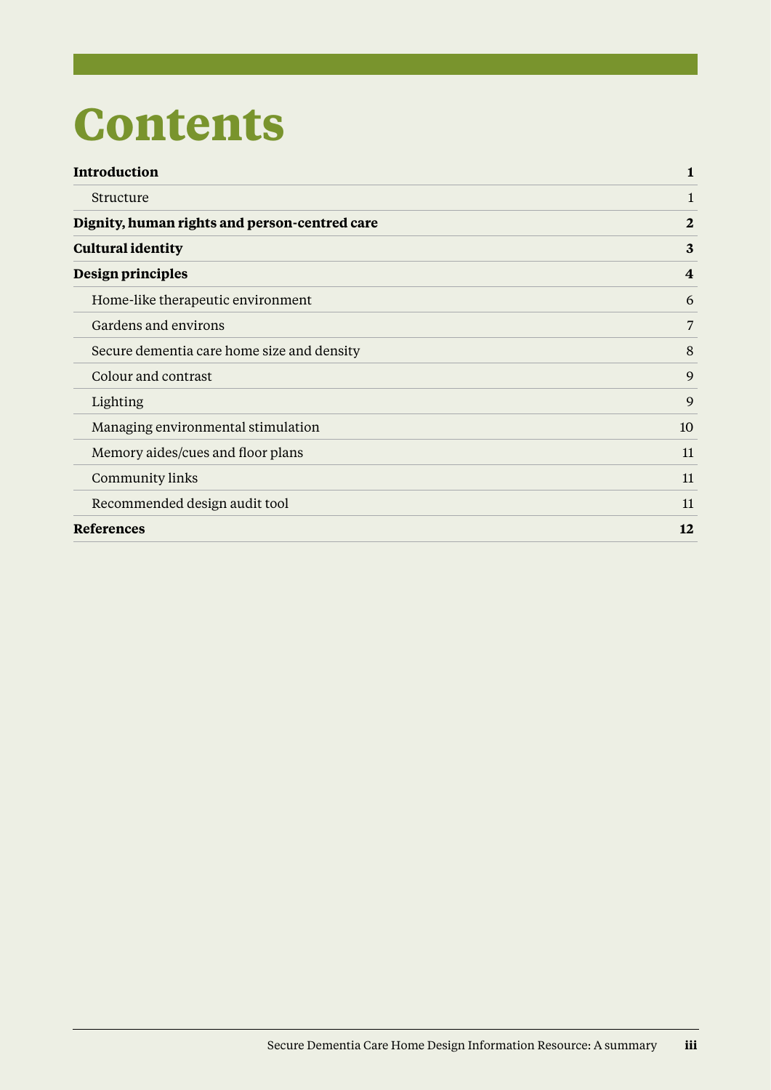## **Contents**

| <b>Introduction</b>                           | $\mathbf{1}$            |
|-----------------------------------------------|-------------------------|
| Structure                                     | 1                       |
| Dignity, human rights and person-centred care | $\overline{2}$          |
| <b>Cultural identity</b>                      | 3                       |
| Design principles                             | $\overline{\mathbf{4}}$ |
| Home-like therapeutic environment             | 6                       |
| Gardens and environs                          | 7                       |
| Secure dementia care home size and density    | 8                       |
| Colour and contrast                           | 9                       |
| Lighting                                      | 9                       |
| Managing environmental stimulation            | 10                      |
| Memory aides/cues and floor plans             | 11                      |
| Community links                               | 11                      |
| Recommended design audit tool                 | 11                      |
| <b>References</b>                             | 12                      |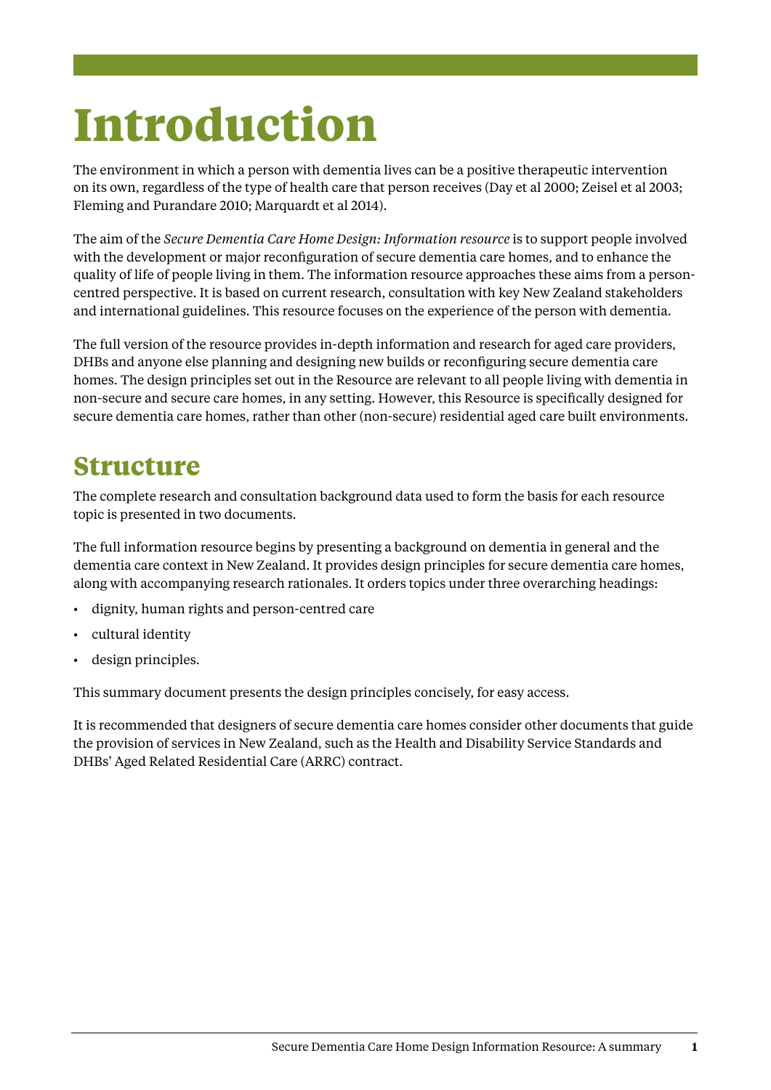# <span id="page-4-0"></span>**Introduction**

The environment in which a person with dementia lives can be a positive therapeutic intervention on its own, regardless of the type of health care that person receives (Day et al 2000; Zeisel et al 2003; Fleming and Purandare 2010; Marquardt et al 2014).

The aim of the *Secure Dementia Care Home Design: Information resource* is to support people involved with the development or major reconfiguration of secure dementia care homes, and to enhance the quality of life of people living in them. The information resource approaches these aims from a personcentred perspective. It is based on current research, consultation with key New Zealand stakeholders and international guidelines. This resource focuses on the experience of the person with dementia.

The full version of the resource provides in-depth information and research for aged care providers, DHBs and anyone else planning and designing new builds or reconfiguring secure dementia care homes. The design principles set out in the Resource are relevant to all people living with dementia in non-secure and secure care homes, in any setting. However, this Resource is specifically designed for secure dementia care homes, rather than other (non-secure) residential aged care built environments.

### **Structure**

The complete research and consultation background data used to form the basis for each resource topic is presented in two documents.

The full information resource begins by presenting a background on dementia in general and the dementia care context in New Zealand. It provides design principles for secure dementia care homes, along with accompanying research rationales. It orders topics under three overarching headings:

- dignity, human rights and person-centred care
- cultural identity
- design principles.

This summary document presents the design principles concisely, for easy access.

It is recommended that designers of secure dementia care homes consider other documents that guide the provision of services in New Zealand, such as the Health and Disability Service Standards and DHBs' Aged Related Residential Care (ARRC) contract.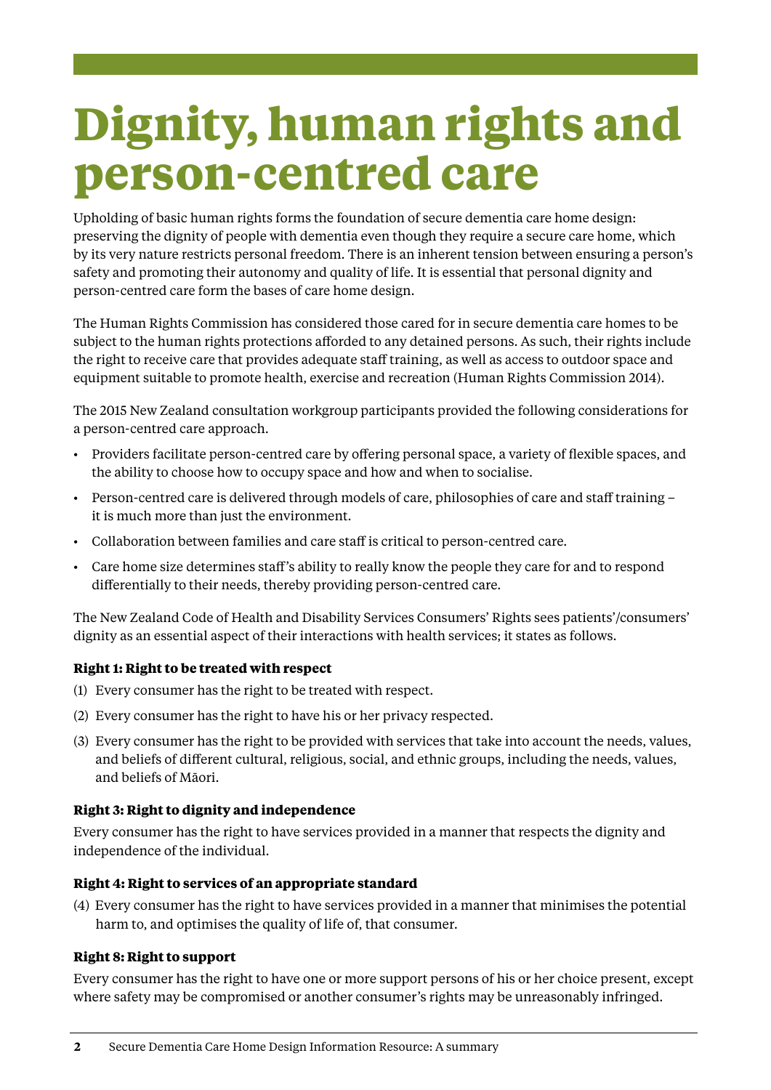# <span id="page-5-0"></span>**Dignity, human rights and person-centred care**

Upholding of basic human rights forms the foundation of secure dementia care home design: preserving the dignity of people with dementia even though they require a secure care home, which by its very nature restricts personal freedom. There is an inherent tension between ensuring a person's safety and promoting their autonomy and quality of life. It is essential that personal dignity and person-centred care form the bases of care home design.

The Human Rights Commission has considered those cared for in secure dementia care homes to be subject to the human rights protections afforded to any detained persons. As such, their rights include the right to receive care that provides adequate staff training, as well as access to outdoor space and equipment suitable to promote health, exercise and recreation (Human Rights Commission 2014).

The 2015 New Zealand consultation workgroup participants provided the following considerations for a person-centred care approach.

- • Providers facilitate person-centred care by offering personal space, a variety of flexible spaces, and the ability to choose how to occupy space and how and when to socialise.
- Person-centred care is delivered through models of care, philosophies of care and staff training it is much more than just the environment.
- • Collaboration between families and care staff is critical to person-centred care.
- Care home size determines staff's ability to really know the people they care for and to respond differentially to their needs, thereby providing person-centred care.

The New Zealand Code of Health and Disability Services Consumers' Rights sees patients'/consumers' dignity as an essential aspect of their interactions with health services; it states as follows.

### **Right 1: Right to be treated with respect**

- (1) Every consumer has the right to be treated with respect.
- (2) Every consumer has the right to have his or her privacy respected.
- (3) Every consumer has the right to be provided with services that take into account the needs, values, and beliefs of different cultural, religious, social, and ethnic groups, including the needs, values, and beliefs of Māori.

### **Right 3: Right to dignity and independence**

Every consumer has the right to have services provided in a manner that respects the dignity and independence of the individual.

### **Right 4: Right to services of an appropriate standard**

(4) Every consumer has the right to have services provided in a manner that minimises the potential harm to, and optimises the quality of life of, that consumer.

### **Right 8: Right to support**

Every consumer has the right to have one or more support persons of his or her choice present, except where safety may be compromised or another consumer's rights may be unreasonably infringed.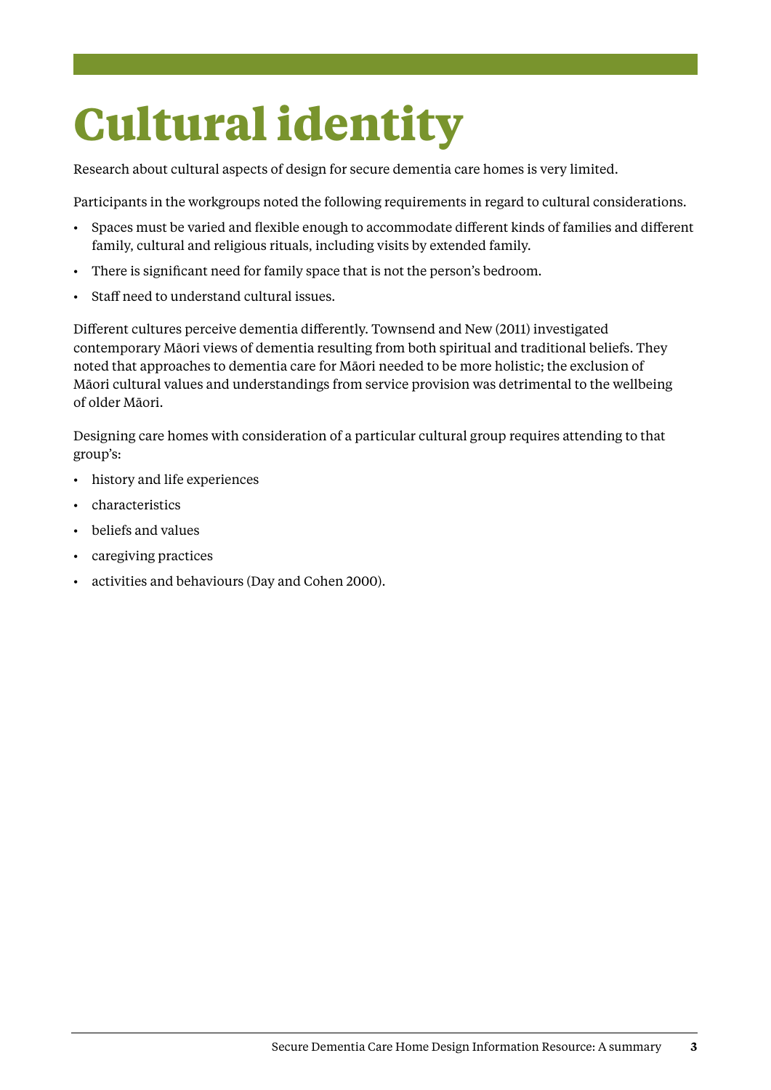# <span id="page-6-0"></span>**Cultural identity**

Research about cultural aspects of design for secure dementia care homes is very limited.

Participants in the workgroups noted the following requirements in regard to cultural considerations.

- • Spaces must be varied and flexible enough to accommodate different kinds of families and different family, cultural and religious rituals, including visits by extended family.
- There is significant need for family space that is not the person's bedroom.
- Staff need to understand cultural issues.

Different cultures perceive dementia differently. Townsend and New (2011) investigated contemporary Māori views of dementia resulting from both spiritual and traditional beliefs. They noted that approaches to dementia care for Māori needed to be more holistic; the exclusion of Māori cultural values and understandings from service provision was detrimental to the wellbeing of older Māori.

Designing care homes with consideration of a particular cultural group requires attending to that group's:

- • history and life experiences
- characteristics
- beliefs and values
- caregiving practices
- • activities and behaviours (Day and Cohen 2000).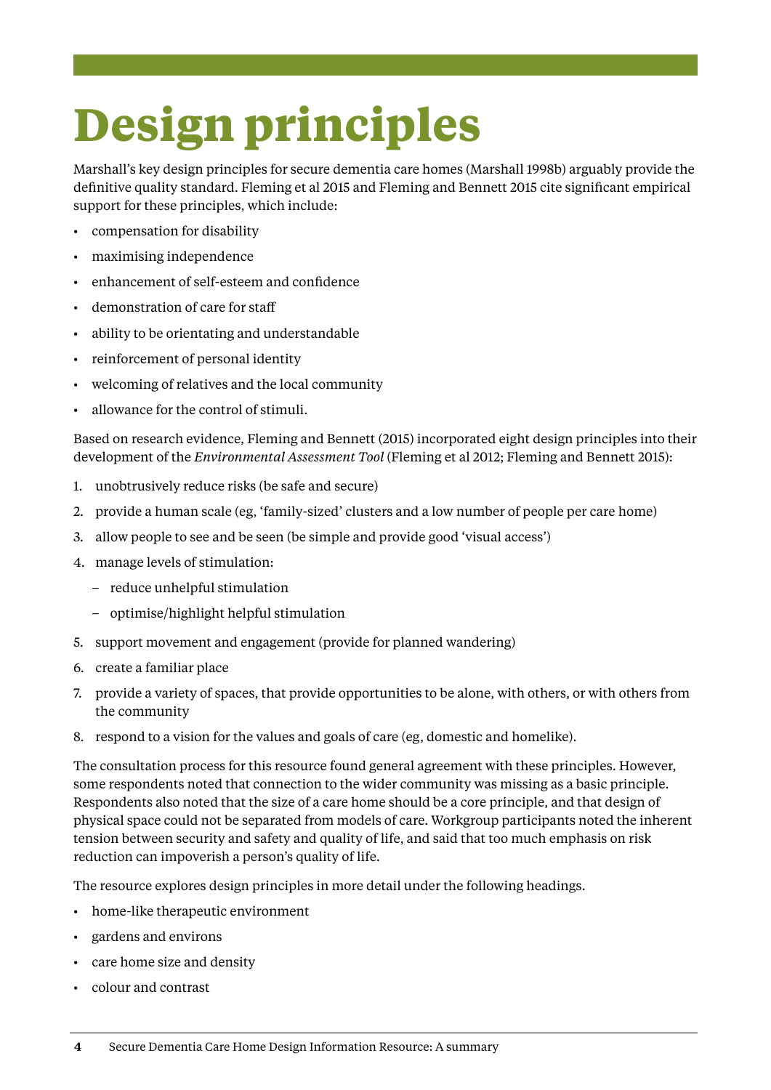# <span id="page-7-0"></span>**Design principles**

Marshall's key design principles for secure dementia care homes (Marshall 1998b) arguably provide the definitive quality standard. Fleming et al 2015 and Fleming and Bennett 2015 cite significant empirical support for these principles, which include:

- compensation for disability
- maximising independence
- enhancement of self-esteem and confidence
- demonstration of care for staff
- ability to be orientating and understandable
- reinforcement of personal identity
- welcoming of relatives and the local community
- allowance for the control of stimuli.

Based on research evidence, Fleming and Bennett (2015) incorporated eight design principles into their development of the *Environmental Assessment Tool* (Fleming et al 2012; Fleming and Bennett 2015):

- 1. unobtrusively reduce risks (be safe and secure)
- 2. provide a human scale (eg, 'family-sized' clusters and a low number of people per care home)
- 3. allow people to see and be seen (be simple and provide good 'visual access')
- 4. manage levels of stimulation:
	- reduce unhelpful stimulation
	- optimise/highlight helpful stimulation
- 5. support movement and engagement (provide for planned wandering)
- 6. create a familiar place
- 7. provide a variety of spaces, that provide opportunities to be alone, with others, or with others from the community
- 8. respond to a vision for the values and goals of care (eg, domestic and homelike).

The consultation process for this resource found general agreement with these principles. However, some respondents noted that connection to the wider community was missing as a basic principle. Respondents also noted that the size of a care home should be a core principle, and that design of physical space could not be separated from models of care. Workgroup participants noted the inherent tension between security and safety and quality of life, and said that too much emphasis on risk reduction can impoverish a person's quality of life.

The resource explores design principles in more detail under the following headings.

- • home-like therapeutic environment
- gardens and environs
- • care home size and density
- colour and contrast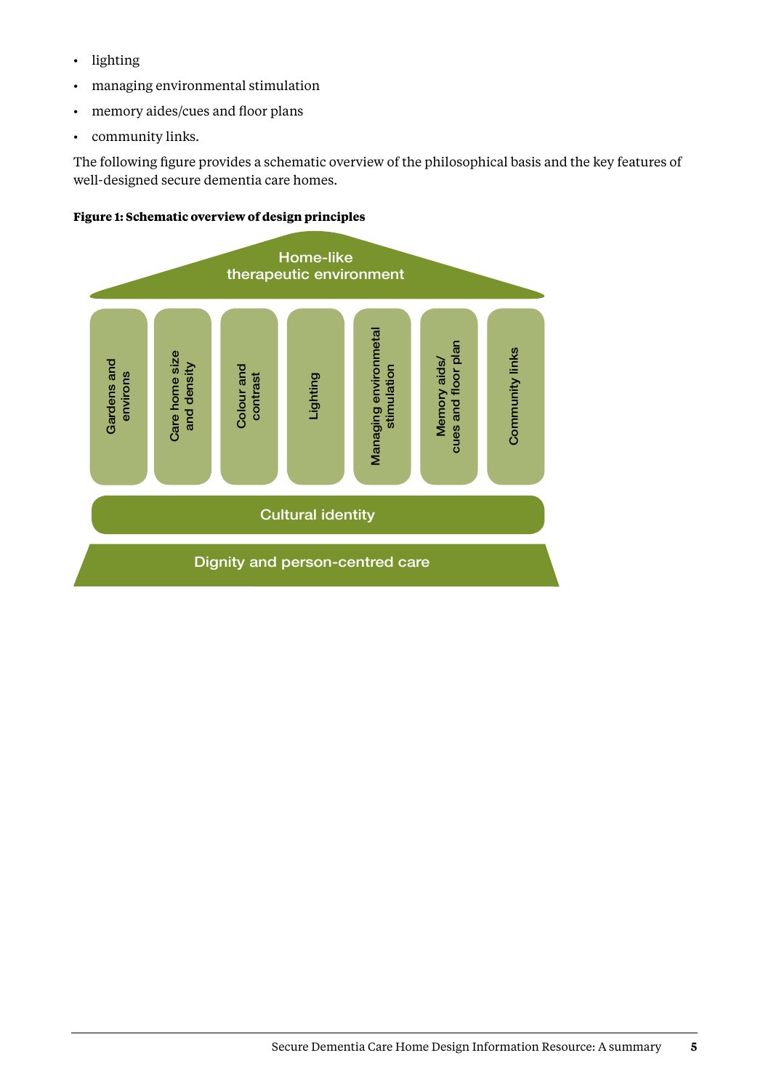- • lighting
- • managing environmental stimulation
- • memory aides/cues and floor plans
- • community links.

The following figure provides a schematic overview of the philosophical basis and the key features of well-designed secure dementia care homes.

#### **Figure 1: Schematic overview of design principles**

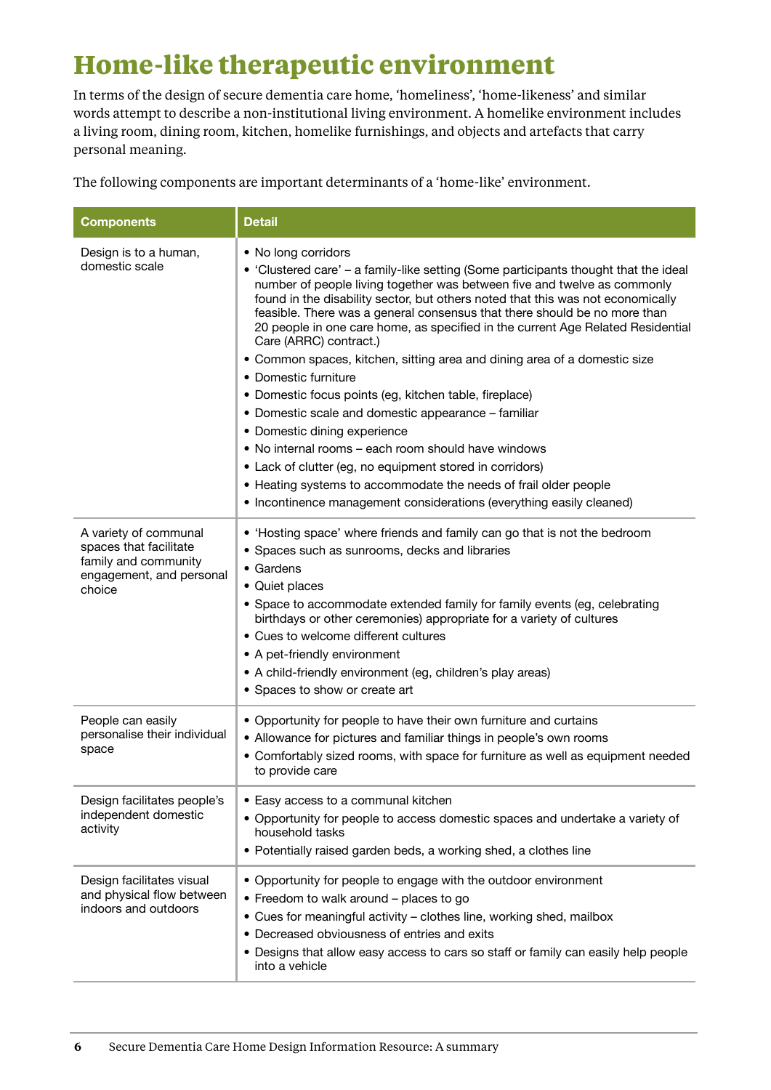### <span id="page-9-0"></span>**Home-like therapeutic environment**

In terms of the design of secure dementia care home, 'homeliness', 'home-likeness' and similar words attempt to describe a non-institutional living environment. A homelike environment includes a living room, dining room, kitchen, homelike furnishings, and objects and artefacts that carry personal meaning.

The following components are important determinants of a 'home-like' environment.

| <b>Components</b>                                                                                             | <b>Detail</b>                                                                                                                                                                                                                                                                                                                                                                                                                                                                                                                                                                                                                                                                                                                                                                                                                                                                                                                                                                             |
|---------------------------------------------------------------------------------------------------------------|-------------------------------------------------------------------------------------------------------------------------------------------------------------------------------------------------------------------------------------------------------------------------------------------------------------------------------------------------------------------------------------------------------------------------------------------------------------------------------------------------------------------------------------------------------------------------------------------------------------------------------------------------------------------------------------------------------------------------------------------------------------------------------------------------------------------------------------------------------------------------------------------------------------------------------------------------------------------------------------------|
| Design is to a human,<br>domestic scale                                                                       | • No long corridors<br>• 'Clustered care' – a family-like setting (Some participants thought that the ideal<br>number of people living together was between five and twelve as commonly<br>found in the disability sector, but others noted that this was not economically<br>feasible. There was a general consensus that there should be no more than<br>20 people in one care home, as specified in the current Age Related Residential<br>Care (ARRC) contract.)<br>• Common spaces, kitchen, sitting area and dining area of a domestic size<br>• Domestic furniture<br>• Domestic focus points (eg, kitchen table, fireplace)<br>• Domestic scale and domestic appearance - familiar<br>• Domestic dining experience<br>. No internal rooms - each room should have windows<br>• Lack of clutter (eg, no equipment stored in corridors)<br>• Heating systems to accommodate the needs of frail older people<br>• Incontinence management considerations (everything easily cleaned) |
| A variety of communal<br>spaces that facilitate<br>family and community<br>engagement, and personal<br>choice | • 'Hosting space' where friends and family can go that is not the bedroom<br>• Spaces such as sunrooms, decks and libraries<br>• Gardens<br>• Quiet places<br>• Space to accommodate extended family for family events (eg, celebrating<br>birthdays or other ceremonies) appropriate for a variety of cultures<br>• Cues to welcome different cultures<br>• A pet-friendly environment<br>• A child-friendly environment (eg, children's play areas)<br>• Spaces to show or create art                                                                                                                                                                                                                                                                                                                                                                                                                                                                                                   |
| People can easily<br>personalise their individual<br>space                                                    | • Opportunity for people to have their own furniture and curtains<br>• Allowance for pictures and familiar things in people's own rooms<br>• Comfortably sized rooms, with space for furniture as well as equipment needed<br>to provide care                                                                                                                                                                                                                                                                                                                                                                                                                                                                                                                                                                                                                                                                                                                                             |
| Design facilitates people's<br>independent domestic<br>activity                                               | • Easy access to a communal kitchen<br>• Opportunity for people to access domestic spaces and undertake a variety of<br>household tasks<br>• Potentially raised garden beds, a working shed, a clothes line                                                                                                                                                                                                                                                                                                                                                                                                                                                                                                                                                                                                                                                                                                                                                                               |
| Design facilitates visual<br>and physical flow between<br>indoors and outdoors                                | • Opportunity for people to engage with the outdoor environment<br>• Freedom to walk around - places to go<br>• Cues for meaningful activity - clothes line, working shed, mailbox<br>• Decreased obviousness of entries and exits<br>• Designs that allow easy access to cars so staff or family can easily help people<br>into a vehicle                                                                                                                                                                                                                                                                                                                                                                                                                                                                                                                                                                                                                                                |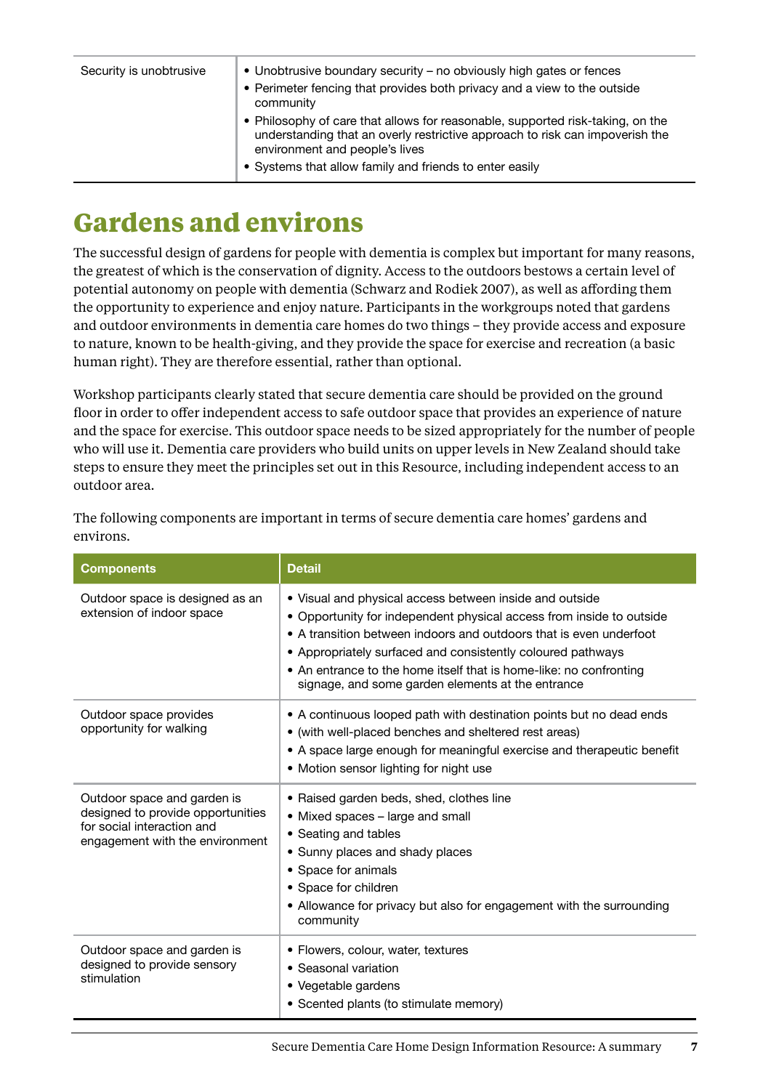<span id="page-10-0"></span>

| Security is unobtrusive | • Unobtrusive boundary security – no obviously high gates or fences<br>• Perimeter fencing that provides both privacy and a view to the outside<br>community                                                                                                |
|-------------------------|-------------------------------------------------------------------------------------------------------------------------------------------------------------------------------------------------------------------------------------------------------------|
|                         | • Philosophy of care that allows for reasonable, supported risk-taking, on the<br>understanding that an overly restrictive approach to risk can impoverish the<br>environment and people's lives<br>• Systems that allow family and friends to enter easily |

### **Gardens and environs**

The successful design of gardens for people with dementia is complex but important for many reasons, the greatest of which is the conservation of dignity. Access to the outdoors bestows a certain level of potential autonomy on people with dementia (Schwarz and Rodiek 2007), as well as affording them the opportunity to experience and enjoy nature. Participants in the workgroups noted that gardens and outdoor environments in dementia care homes do two things – they provide access and exposure to nature, known to be health-giving, and they provide the space for exercise and recreation (a basic human right). They are therefore essential, rather than optional.

Workshop participants clearly stated that secure dementia care should be provided on the ground floor in order to offer independent access to safe outdoor space that provides an experience of nature and the space for exercise. This outdoor space needs to be sized appropriately for the number of people who will use it. Dementia care providers who build units on upper levels in New Zealand should take steps to ensure they meet the principles set out in this Resource, including independent access to an outdoor area.

| <b>Components</b>                                                                                                                 | <b>Detail</b>                                                                                                                                                                                                                                                                                                                                                                                   |
|-----------------------------------------------------------------------------------------------------------------------------------|-------------------------------------------------------------------------------------------------------------------------------------------------------------------------------------------------------------------------------------------------------------------------------------------------------------------------------------------------------------------------------------------------|
| Outdoor space is designed as an<br>extension of indoor space                                                                      | • Visual and physical access between inside and outside<br>• Opportunity for independent physical access from inside to outside<br>• A transition between indoors and outdoors that is even underfoot<br>• Appropriately surfaced and consistently coloured pathways<br>• An entrance to the home itself that is home-like: no confronting<br>signage, and some garden elements at the entrance |
| Outdoor space provides<br>opportunity for walking                                                                                 | • A continuous looped path with destination points but no dead ends<br>• (with well-placed benches and sheltered rest areas)<br>• A space large enough for meaningful exercise and therapeutic benefit<br>• Motion sensor lighting for night use                                                                                                                                                |
| Outdoor space and garden is<br>designed to provide opportunities<br>for social interaction and<br>engagement with the environment | • Raised garden beds, shed, clothes line<br>• Mixed spaces – large and small<br>• Seating and tables<br>• Sunny places and shady places<br>• Space for animals<br>• Space for children<br>• Allowance for privacy but also for engagement with the surrounding<br>community                                                                                                                     |
| Outdoor space and garden is<br>designed to provide sensory<br>stimulation                                                         | • Flowers, colour, water, textures<br>• Seasonal variation<br>• Vegetable gardens<br>• Scented plants (to stimulate memory)                                                                                                                                                                                                                                                                     |

The following components are important in terms of secure dementia care homes' gardens and environs.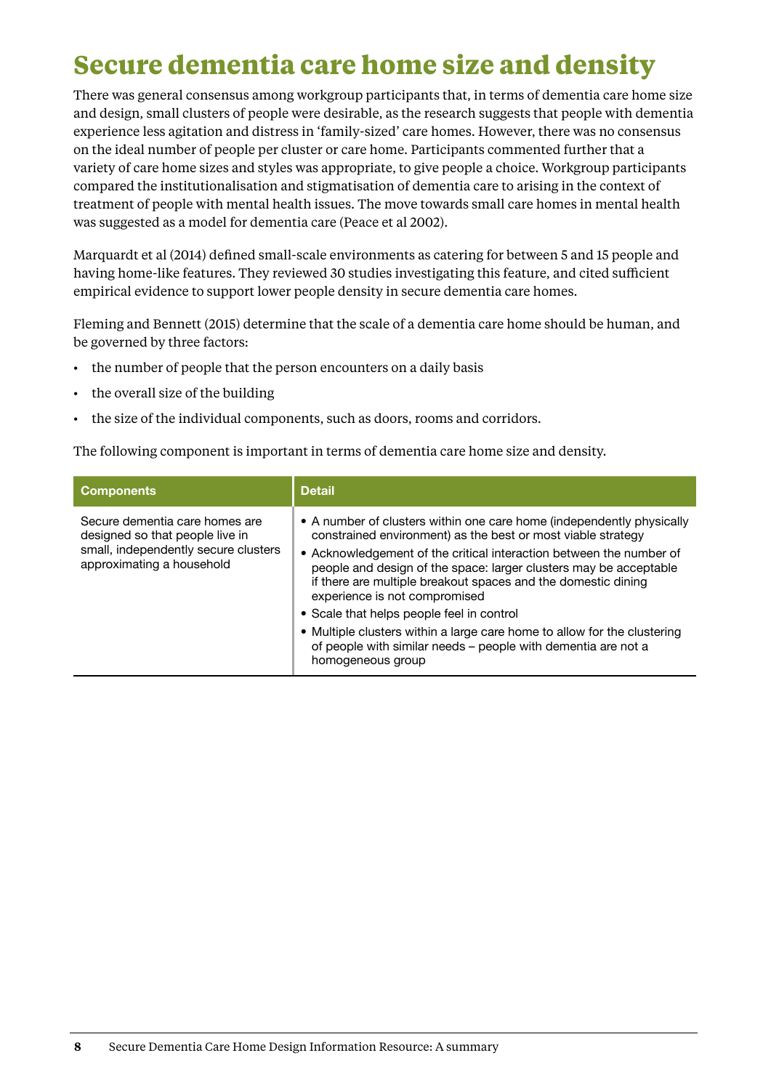### <span id="page-11-0"></span>**Secure dementia care home size and density**

There was general consensus among workgroup participants that, in terms of dementia care home size and design, small clusters of people were desirable, as the research suggests that people with dementia experience less agitation and distress in 'family-sized' care homes. However, there was no consensus on the ideal number of people per cluster or care home. Participants commented further that a variety of care home sizes and styles was appropriate, to give people a choice. Workgroup participants compared the institutionalisation and stigmatisation of dementia care to arising in the context of treatment of people with mental health issues. The move towards small care homes in mental health was suggested as a model for dementia care (Peace et al 2002).

Marquardt et al (2014) defined small-scale environments as catering for between 5 and 15 people and having home-like features. They reviewed 30 studies investigating this feature, and cited sufficient empirical evidence to support lower people density in secure dementia care homes.

Fleming and Bennett (2015) determine that the scale of a dementia care home should be human, and be governed by three factors:

- the number of people that the person encounters on a daily basis
- • the overall size of the building
- the size of the individual components, such as doors, rooms and corridors.

The following component is important in terms of dementia care home size and density.

| <b>Components</b>                                                                                                                      | <b>Detail</b>                                                                                                                                                                                                                                                                                                                                                                                                                                                                                                                                                                                      |
|----------------------------------------------------------------------------------------------------------------------------------------|----------------------------------------------------------------------------------------------------------------------------------------------------------------------------------------------------------------------------------------------------------------------------------------------------------------------------------------------------------------------------------------------------------------------------------------------------------------------------------------------------------------------------------------------------------------------------------------------------|
| Secure dementia care homes are<br>designed so that people live in<br>small, independently secure clusters<br>approximating a household | • A number of clusters within one care home (independently physically<br>constrained environment) as the best or most viable strategy<br>• Acknowledgement of the critical interaction between the number of<br>people and design of the space: larger clusters may be acceptable<br>if there are multiple breakout spaces and the domestic dining<br>experience is not compromised<br>• Scale that helps people feel in control<br>• Multiple clusters within a large care home to allow for the clustering<br>of people with similar needs - people with dementia are not a<br>homogeneous group |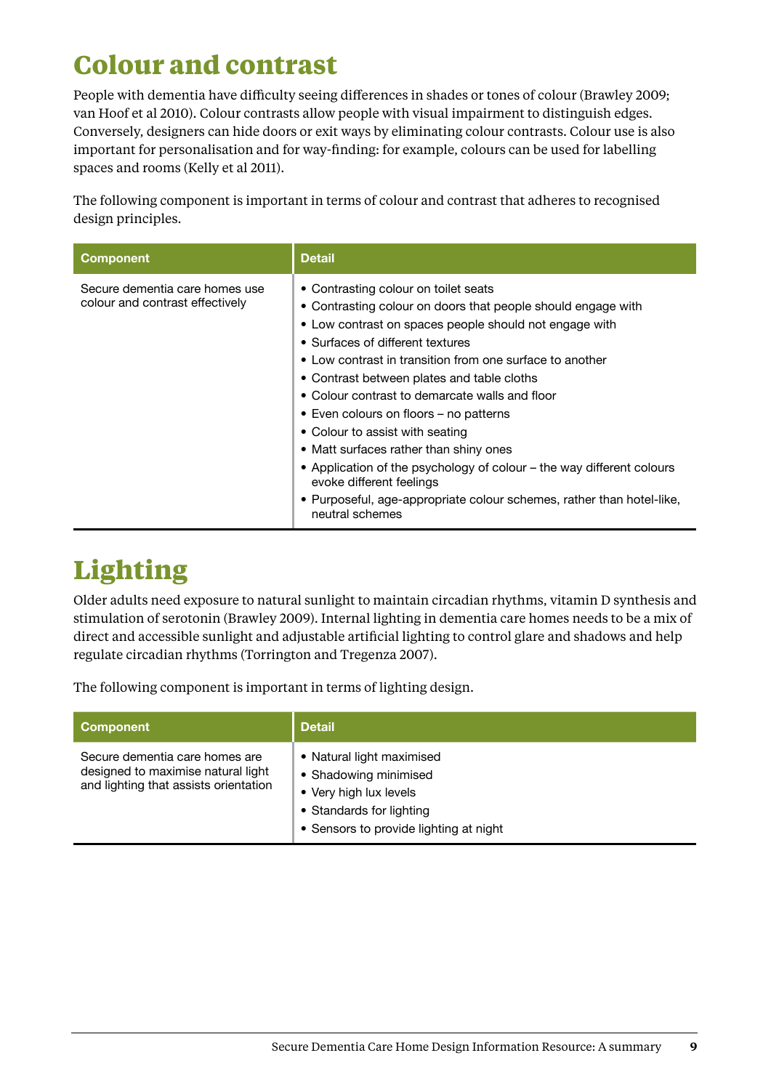### <span id="page-12-0"></span>**Colour and contrast**

People with dementia have difficulty seeing differences in shades or tones of colour (Brawley 2009; van Hoof et al 2010). Colour contrasts allow people with visual impairment to distinguish edges. Conversely, designers can hide doors or exit ways by eliminating colour contrasts. Colour use is also important for personalisation and for way-finding: for example, colours can be used for labelling spaces and rooms (Kelly et al 2011).

The following component is important in terms of colour and contrast that adheres to recognised design principles.

| <b>Component</b>                                                  | <b>Detail</b>                                                                                                                                                                                                                                                                                                                                                                                                                                                                                                                                                                                                                                                                          |
|-------------------------------------------------------------------|----------------------------------------------------------------------------------------------------------------------------------------------------------------------------------------------------------------------------------------------------------------------------------------------------------------------------------------------------------------------------------------------------------------------------------------------------------------------------------------------------------------------------------------------------------------------------------------------------------------------------------------------------------------------------------------|
| Secure dementia care homes use<br>colour and contrast effectively | • Contrasting colour on toilet seats<br>• Contrasting colour on doors that people should engage with<br>• Low contrast on spaces people should not engage with<br>• Surfaces of different textures<br>• Low contrast in transition from one surface to another<br>• Contrast between plates and table cloths<br>• Colour contrast to demarcate walls and floor<br>• Even colours on floors – no patterns<br>• Colour to assist with seating<br>• Matt surfaces rather than shiny ones<br>• Application of the psychology of colour – the way different colours<br>evoke different feelings<br>• Purposeful, age-appropriate colour schemes, rather than hotel-like,<br>neutral schemes |

## **Lighting**

Older adults need exposure to natural sunlight to maintain circadian rhythms, vitamin D synthesis and stimulation of serotonin (Brawley 2009). Internal lighting in dementia care homes needs to be a mix of direct and accessible sunlight and adjustable artificial lighting to control glare and shadows and help regulate circadian rhythms (Torrington and Tregenza 2007).

The following component is important in terms of lighting design.

| <b>Component</b>                                                                                              | <b>Detail</b>                                                                                                                                      |
|---------------------------------------------------------------------------------------------------------------|----------------------------------------------------------------------------------------------------------------------------------------------------|
| Secure dementia care homes are<br>designed to maximise natural light<br>and lighting that assists orientation | • Natural light maximised<br>• Shadowing minimised<br>• Very high lux levels<br>• Standards for lighting<br>• Sensors to provide lighting at night |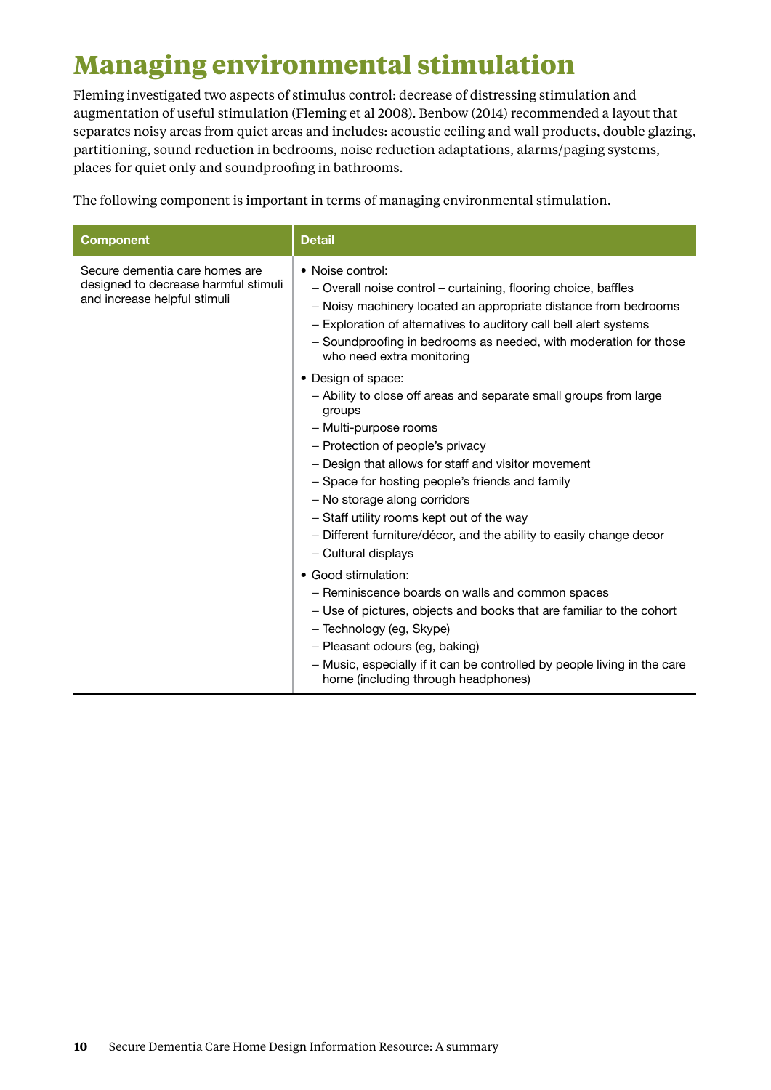## <span id="page-13-0"></span>**Managing environmental stimulation**

Fleming investigated two aspects of stimulus control: decrease of distressing stimulation and augmentation of useful stimulation (Fleming et al 2008). Benbow (2014) recommended a layout that separates noisy areas from quiet areas and includes: acoustic ceiling and wall products, double glazing, partitioning, sound reduction in bedrooms, noise reduction adaptations, alarms/paging systems, places for quiet only and soundproofing in bathrooms.

The following component is important in terms of managing environmental stimulation.

| <b>Component</b>                                                                                       | <b>Detail</b>                                                                                                                                                                                                                                                                                                                                                                                                                                       |
|--------------------------------------------------------------------------------------------------------|-----------------------------------------------------------------------------------------------------------------------------------------------------------------------------------------------------------------------------------------------------------------------------------------------------------------------------------------------------------------------------------------------------------------------------------------------------|
| Secure dementia care homes are<br>designed to decrease harmful stimuli<br>and increase helpful stimuli | • Noise control:<br>- Overall noise control – curtaining, flooring choice, baffles<br>- Noisy machinery located an appropriate distance from bedrooms<br>- Exploration of alternatives to auditory call bell alert systems<br>- Soundproofing in bedrooms as needed, with moderation for those<br>who need extra monitoring                                                                                                                         |
|                                                                                                        | • Design of space:<br>- Ability to close off areas and separate small groups from large<br>groups<br>- Multi-purpose rooms<br>- Protection of people's privacy<br>- Design that allows for staff and visitor movement<br>- Space for hosting people's friends and family<br>- No storage along corridors<br>- Staff utility rooms kept out of the way<br>- Different furniture/décor, and the ability to easily change decor<br>- Cultural displays |
|                                                                                                        | • Good stimulation:<br>- Reminiscence boards on walls and common spaces<br>- Use of pictures, objects and books that are familiar to the cohort<br>- Technology (eg, Skype)<br>- Pleasant odours (eg, baking)<br>- Music, especially if it can be controlled by people living in the care<br>home (including through headphones)                                                                                                                    |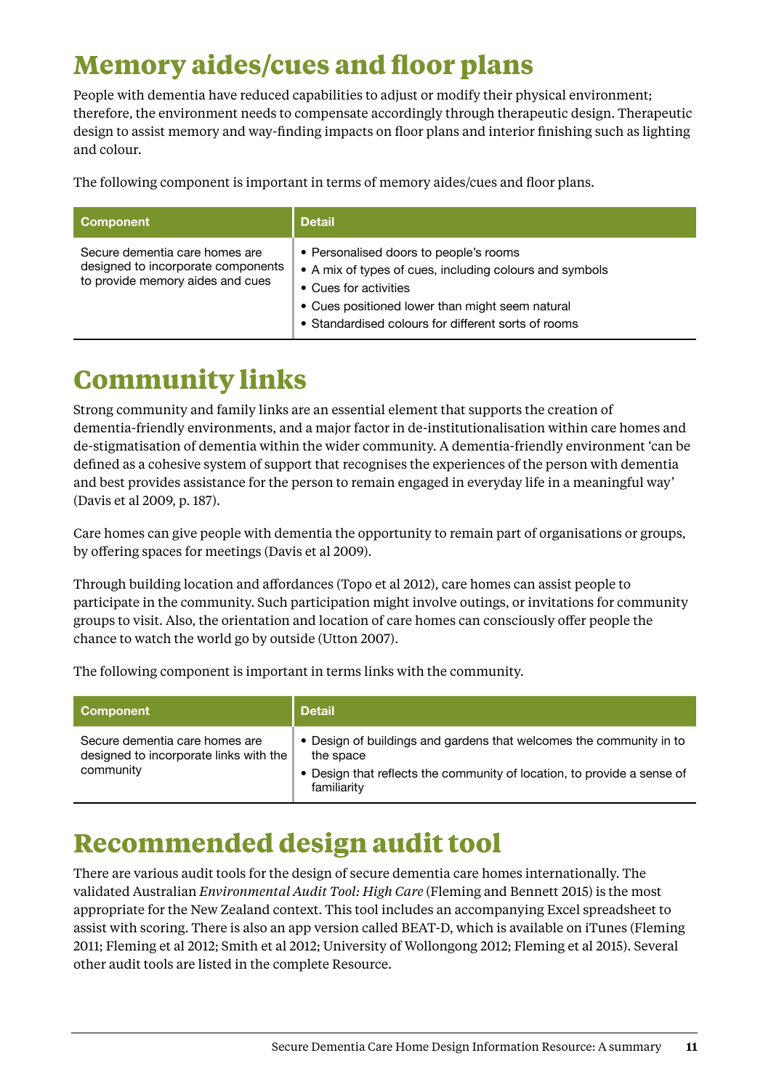### <span id="page-14-0"></span>**Memory aides/cues and floor plans**

People with dementia have reduced capabilities to adjust or modify their physical environment; therefore, the environment needs to compensate accordingly through therapeutic design. Therapeutic design to assist memory and way-finding impacts on floor plans and interior finishing such as lighting and colour.

The following component is important in terms of memory aides/cues and floor plans.

| <b>Component</b>                                                                                         | <b>Detail</b>                                                                                                                                                                                                                        |
|----------------------------------------------------------------------------------------------------------|--------------------------------------------------------------------------------------------------------------------------------------------------------------------------------------------------------------------------------------|
| Secure dementia care homes are<br>designed to incorporate components<br>to provide memory aides and cues | • Personalised doors to people's rooms<br>• A mix of types of cues, including colours and symbols<br>• Cues for activities<br>• Cues positioned lower than might seem natural<br>• Standardised colours for different sorts of rooms |

### **Community links**

Strong community and family links are an essential element that supports the creation of dementia-friendly environments, and a major factor in de-institutionalisation within care homes and de-stigmatisation of dementia within the wider community. A dementia-friendly environment 'can be defined as a cohesive system of support that recognises the experiences of the person with dementia and best provides assistance for the person to remain engaged in everyday life in a meaningful way' (Davis et al 2009, p. 187).

Care homes can give people with dementia the opportunity to remain part of organisations or groups, by offering spaces for meetings (Davis et al 2009).

Through building location and affordances (Topo et al 2012), care homes can assist people to participate in the community. Such participation might involve outings, or invitations for community groups to visit. Also, the orientation and location of care homes can consciously offer people the chance to watch the world go by outside (Utton 2007).

The following component is important in terms links with the community.

| Component                                                                             | <b>Detail</b>                                                                                                                                                              |
|---------------------------------------------------------------------------------------|----------------------------------------------------------------------------------------------------------------------------------------------------------------------------|
| Secure dementia care homes are<br>designed to incorporate links with the<br>community | • Design of buildings and gardens that welcomes the community in to<br>the space<br>• Design that reflects the community of location, to provide a sense of<br>familiarity |

### **Recommended design audit tool**

There are various audit tools for the design of secure dementia care homes internationally. The validated Australian *Environmental Audit Tool: High Care* (Fleming and Bennett 2015) is the most appropriate for the New Zealand context. This tool includes an accompanying Excel spreadsheet to assist with scoring. There is also an app version called BEAT-D, which is available on iTunes (Fleming 2011; Fleming et al 2012; Smith et al 2012; University of Wollongong 2012; Fleming et al 2015). Several other audit tools are listed in the complete Resource.